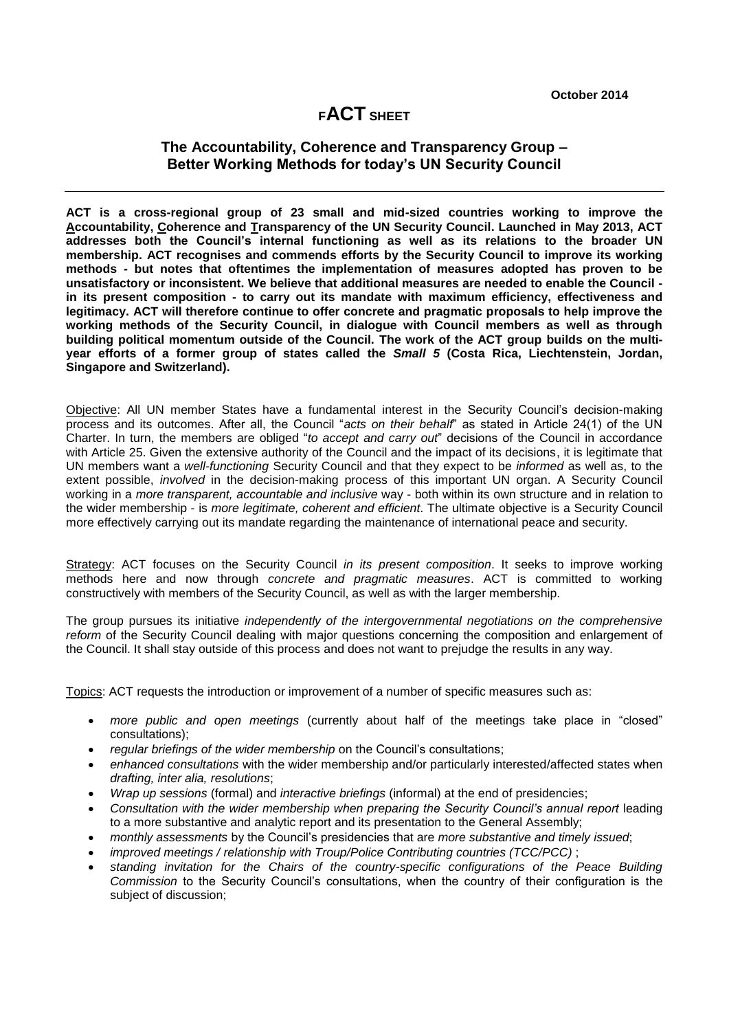## **<sup>F</sup>ACT SHEET**

## **The Accountability, Coherence and Transparency Group – Better Working Methods for today's UN Security Council**

**ACT is a cross-regional group of 23 small and mid-sized countries working to improve the Accountability, Coherence and Transparency of the UN Security Council. Launched in May 2013, ACT addresses both the Council's internal functioning as well as its relations to the broader UN membership. ACT recognises and commends efforts by the Security Council to improve its working methods - but notes that oftentimes the implementation of measures adopted has proven to be unsatisfactory or inconsistent. We believe that additional measures are needed to enable the Council in its present composition - to carry out its mandate with maximum efficiency, effectiveness and legitimacy. ACT will therefore continue to offer concrete and pragmatic proposals to help improve the working methods of the Security Council, in dialogue with Council members as well as through building political momentum outside of the Council. The work of the ACT group builds on the multiyear efforts of a former group of states called the** *Small 5* **(Costa Rica, Liechtenstein, Jordan, Singapore and Switzerland).**

Objective: All UN member States have a fundamental interest in the Security Council's decision-making process and its outcomes. After all, the Council "*acts on their behalf*" as stated in Article 24(1) of the UN Charter. In turn, the members are obliged "*to accept and carry out*" decisions of the Council in accordance with Article 25. Given the extensive authority of the Council and the impact of its decisions, it is legitimate that UN members want a *well-functioning* Security Council and that they expect to be *informed* as well as, to the extent possible, *involved* in the decision-making process of this important UN organ. A Security Council working in a *more transparent, accountable and inclusive* way - both within its own structure and in relation to the wider membership - is *more legitimate, coherent and efficient*. The ultimate objective is a Security Council more effectively carrying out its mandate regarding the maintenance of international peace and security.

Strategy: ACT focuses on the Security Council *in its present composition*. It seeks to improve working methods here and now through *concrete and pragmatic measures*. ACT is committed to working constructively with members of the Security Council, as well as with the larger membership.

The group pursues its initiative *independently of the intergovernmental negotiations on the comprehensive reform* of the Security Council dealing with major questions concerning the composition and enlargement of the Council. It shall stay outside of this process and does not want to prejudge the results in any way.

Topics: ACT requests the introduction or improvement of a number of specific measures such as:

- *more public and open meetings* (currently about half of the meetings take place in "closed" consultations);
- *regular briefings of the wider membership* on the Council's consultations;
- *enhanced consultations* with the wider membership and/or particularly interested/affected states when *drafting, inter alia, resolutions*;
- *Wrap up sessions* (formal) and *interactive briefings* (informal) at the end of presidencies;
- *Consultation with the wider membership when preparing the Security Council's annual report* leading to a more substantive and analytic report and its presentation to the General Assembly;
- *monthly assessments* by the Council's presidencies that are *more substantive and timely issued*;
- *improved meetings / relationship with Troup/Police Contributing countries (TCC/PCC)* ;
- *standing invitation for the Chairs of the country-specific configurations of the Peace Building Commission* to the Security Council's consultations, when the country of their configuration is the subject of discussion;